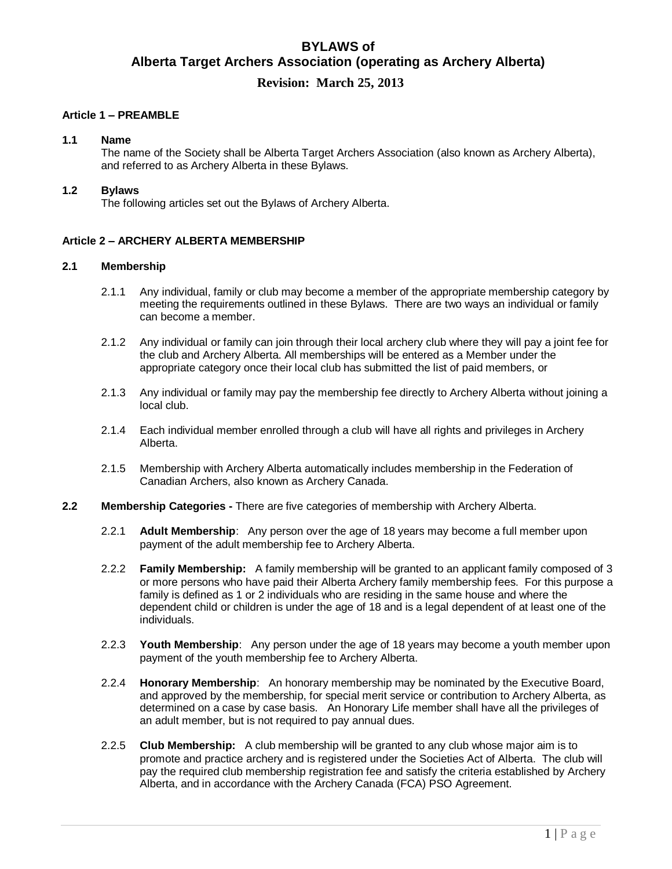# **BYLAWS of Alberta Target Archers Association (operating as Archery Alberta)**

## **Revision: March 25, 2013**

## **Article 1 – PREAMBLE**

#### **1.1 Name**

The name of the Society shall be Alberta Target Archers Association (also known as Archery Alberta), and referred to as Archery Alberta in these Bylaws.

### **1.2 Bylaws**

The following articles set out the Bylaws of Archery Alberta.

## **Article 2 – ARCHERY ALBERTA MEMBERSHIP**

## **2.1 Membership**

- 2.1.1 Any individual, family or club may become a member of the appropriate membership category by meeting the requirements outlined in these Bylaws. There are two ways an individual or family can become a member.
- 2.1.2 Any individual or family can join through their local archery club where they will pay a joint fee for the club and Archery Alberta. All memberships will be entered as a Member under the appropriate category once their local club has submitted the list of paid members, or
- 2.1.3 Any individual or family may pay the membership fee directly to Archery Alberta without joining a local club.
- 2.1.4 Each individual member enrolled through a club will have all rights and privileges in Archery Alberta.
- 2.1.5 Membership with Archery Alberta automatically includes membership in the Federation of Canadian Archers, also known as Archery Canada.
- **2.2 Membership Categories -** There are five categories of membership with Archery Alberta.
	- 2.2.1 **Adult Membership**: Any person over the age of 18 years may become a full member upon payment of the adult membership fee to Archery Alberta.
	- 2.2.2 **Family Membership:** A family membership will be granted to an applicant family composed of 3 or more persons who have paid their Alberta Archery family membership fees. For this purpose a family is defined as 1 or 2 individuals who are residing in the same house and where the dependent child or children is under the age of 18 and is a legal dependent of at least one of the individuals.
	- 2.2.3 **Youth Membership**: Any person under the age of 18 years may become a youth member upon payment of the youth membership fee to Archery Alberta.
	- 2.2.4 **Honorary Membership**: An honorary membership may be nominated by the Executive Board, and approved by the membership, for special merit service or contribution to Archery Alberta, as determined on a case by case basis. An Honorary Life member shall have all the privileges of an adult member, but is not required to pay annual dues.
	- 2.2.5 **Club Membership:** A club membership will be granted to any club whose major aim is to promote and practice archery and is registered under the Societies Act of Alberta. The club will pay the required club membership registration fee and satisfy the criteria established by Archery Alberta, and in accordance with the Archery Canada (FCA) PSO Agreement.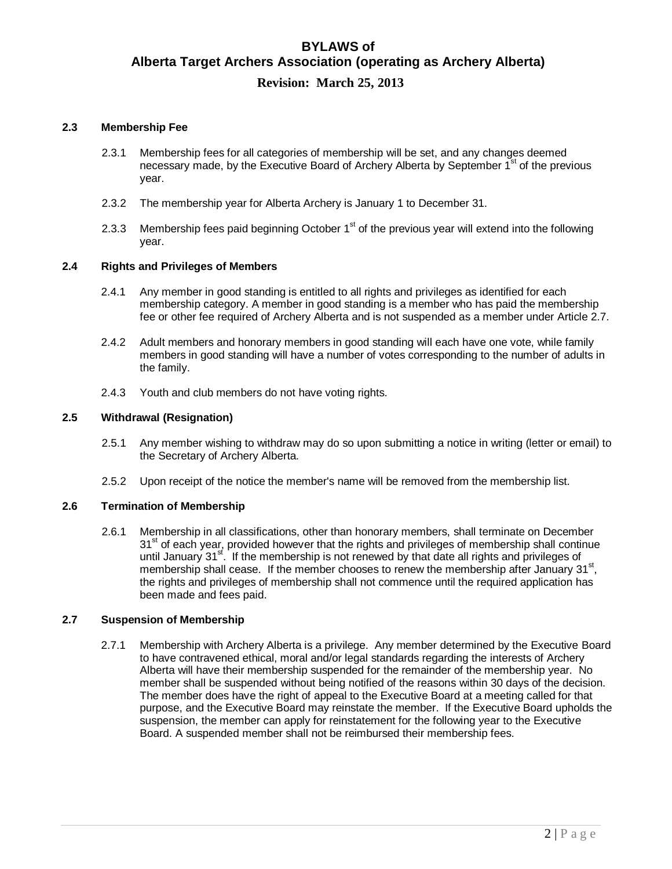## **2.3 Membership Fee**

- 2.3.1 Membership fees for all categories of membership will be set, and any changes deemed necessary made, by the Executive Board of Archery Alberta by September  $1^{st}$  of the previous year.
- 2.3.2 The membership year for Alberta Archery is January 1 to December 31.
- 2.3.3 Membership fees paid beginning October 1<sup>st</sup> of the previous year will extend into the following year.

## **2.4 Rights and Privileges of Members**

- 2.4.1 Any member in good standing is entitled to all rights and privileges as identified for each membership category. A member in good standing is a member who has paid the membership fee or other fee required of Archery Alberta and is not suspended as a member under Article 2.7.
- 2.4.2 Adult members and honorary members in good standing will each have one vote, while family members in good standing will have a number of votes corresponding to the number of adults in the family.
- 2.4.3 Youth and club members do not have voting rights.

## **2.5 Withdrawal (Resignation)**

- 2.5.1 Any member wishing to withdraw may do so upon submitting a notice in writing (letter or email) to the Secretary of Archery Alberta.
- 2.5.2 Upon receipt of the notice the member's name will be removed from the membership list.

## **2.6 Termination of Membership**

2.6.1 Membership in all classifications, other than honorary members, shall terminate on December 31<sup>st</sup> of each year, provided however that the rights and privileges of membership shall continue until January 31<sup>st</sup>. If the membership is not renewed by that date all rights and privileges of membership shall cease. If the member chooses to renew the membership after January  $31<sup>st</sup>$ , the rights and privileges of membership shall not commence until the required application has been made and fees paid.

#### **2.7 Suspension of Membership**

2.7.1 Membership with Archery Alberta is a privilege. Any member determined by the Executive Board to have contravened ethical, moral and/or legal standards regarding the interests of Archery Alberta will have their membership suspended for the remainder of the membership year. No member shall be suspended without being notified of the reasons within 30 days of the decision. The member does have the right of appeal to the Executive Board at a meeting called for that purpose, and the Executive Board may reinstate the member. If the Executive Board upholds the suspension, the member can apply for reinstatement for the following year to the Executive Board. A suspended member shall not be reimbursed their membership fees.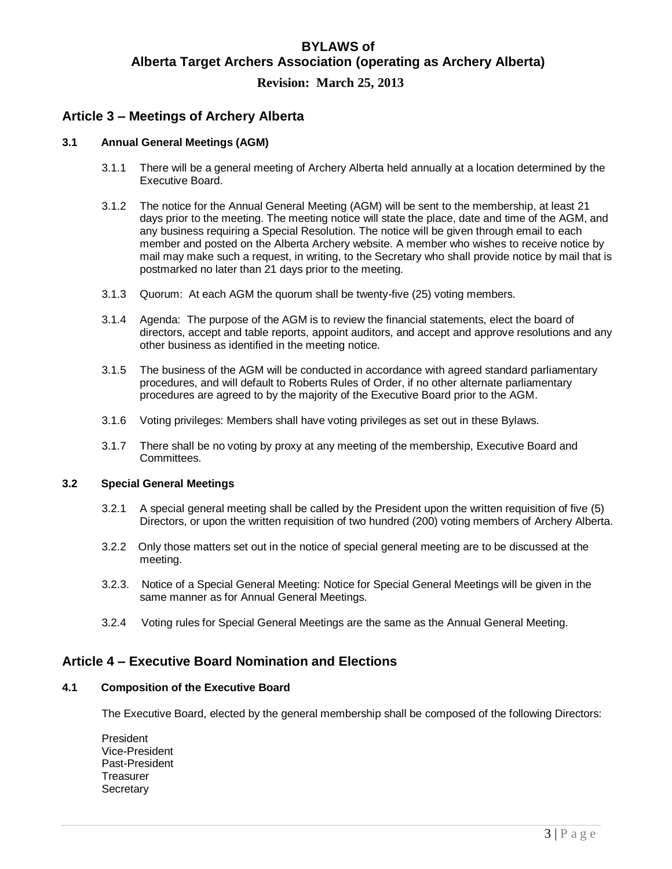## **Article 3 – Meetings of Archery Alberta**

## **3.1 Annual General Meetings (AGM)**

- 3.1.1 There will be a general meeting of Archery Alberta held annually at a location determined by the Executive Board.
- 3.1.2 The notice for the Annual General Meeting (AGM) will be sent to the membership, at least 21 days prior to the meeting. The meeting notice will state the place, date and time of the AGM, and any business requiring a Special Resolution. The notice will be given through email to each member and posted on the Alberta Archery website. A member who wishes to receive notice by mail may make such a request, in writing, to the Secretary who shall provide notice by mail that is postmarked no later than 21 days prior to the meeting.
- 3.1.3 Quorum: At each AGM the quorum shall be twenty-five (25) voting members.
- 3.1.4 Agenda: The purpose of the AGM is to review the financial statements, elect the board of directors, accept and table reports, appoint auditors, and accept and approve resolutions and any other business as identified in the meeting notice.
- 3.1.5 The business of the AGM will be conducted in accordance with agreed standard parliamentary procedures, and will default to Roberts Rules of Order, if no other alternate parliamentary procedures are agreed to by the majority of the Executive Board prior to the AGM.
- 3.1.6 Voting privileges: Members shall have voting privileges as set out in these Bylaws.
- 3.1.7 There shall be no voting by proxy at any meeting of the membership, Executive Board and Committees.

## **3.2 Special General Meetings**

- 3.2.1 A special general meeting shall be called by the President upon the written requisition of five (5) Directors, or upon the written requisition of two hundred (200) voting members of Archery Alberta.
- 3.2.2 Only those matters set out in the notice of special general meeting are to be discussed at the meeting.
- 3.2.3. Notice of a Special General Meeting: Notice for Special General Meetings will be given in the same manner as for Annual General Meetings.
- 3.2.4 Voting rules for Special General Meetings are the same as the Annual General Meeting.

## **Article 4 – Executive Board Nomination and Elections**

## **4.1 Composition of the Executive Board**

The Executive Board, elected by the general membership shall be composed of the following Directors:

President Vice-President Past-President **Treasurer Secretary**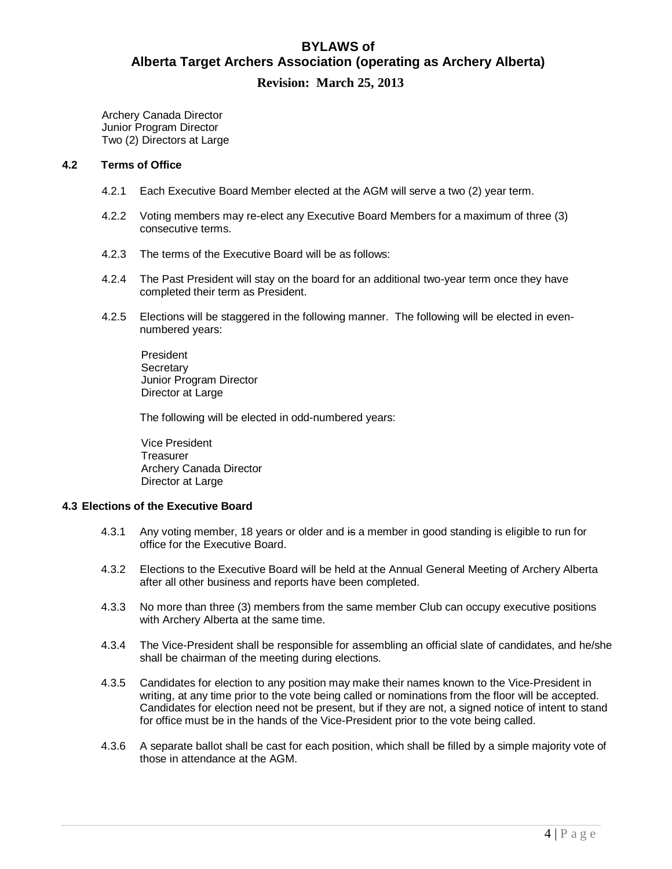Archery Canada Director Junior Program Director Two (2) Directors at Large

### **4.2 Terms of Office**

- 4.2.1 Each Executive Board Member elected at the AGM will serve a two (2) year term.
- 4.2.2 Voting members may re-elect any Executive Board Members for a maximum of three (3) consecutive terms.
- 4.2.3 The terms of the Executive Board will be as follows:
- 4.2.4 The Past President will stay on the board for an additional two-year term once they have completed their term as President.
- 4.2.5 Elections will be staggered in the following manner. The following will be elected in evennumbered years:

President **Secretary** Junior Program Director Director at Large

The following will be elected in odd-numbered years:

Vice President **Treasurer** Archery Canada Director Director at Large

## **4.3 Elections of the Executive Board**

- 4.3.1 Any voting member, 18 years or older and is a member in good standing is eligible to run for office for the Executive Board.
- 4.3.2 Elections to the Executive Board will be held at the Annual General Meeting of Archery Alberta after all other business and reports have been completed.
- 4.3.3 No more than three (3) members from the same member Club can occupy executive positions with Archery Alberta at the same time.
- 4.3.4 The Vice-President shall be responsible for assembling an official slate of candidates, and he/she shall be chairman of the meeting during elections.
- 4.3.5 Candidates for election to any position may make their names known to the Vice-President in writing, at any time prior to the vote being called or nominations from the floor will be accepted. Candidates for election need not be present, but if they are not, a signed notice of intent to stand for office must be in the hands of the Vice-President prior to the vote being called.
- 4.3.6 A separate ballot shall be cast for each position, which shall be filled by a simple majority vote of those in attendance at the AGM.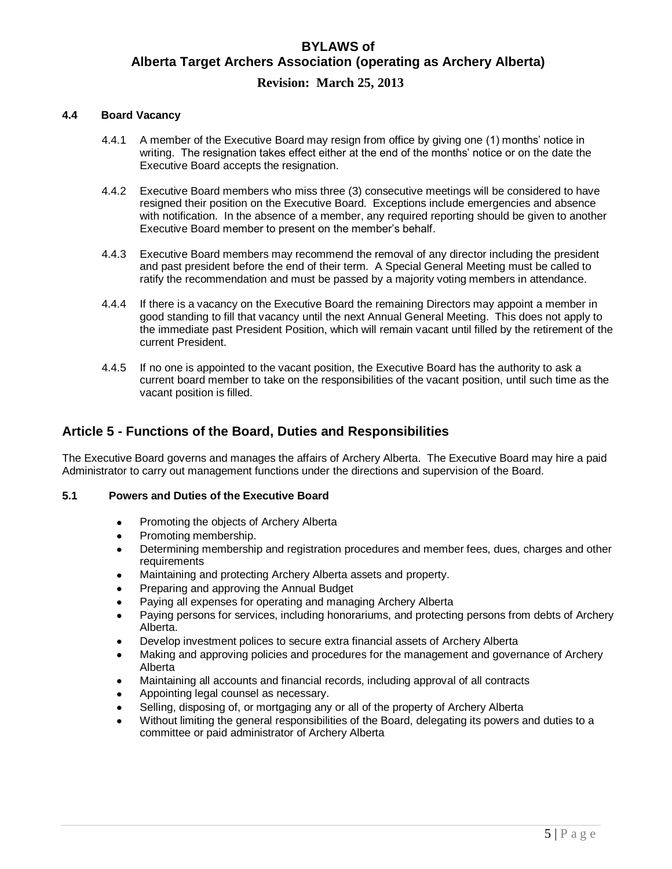### **4.4 Board Vacancy**

- 4.4.1 A member of the Executive Board may resign from office by giving one (1) months' notice in writing. The resignation takes effect either at the end of the months' notice or on the date the Executive Board accepts the resignation.
- 4.4.2 Executive Board members who miss three (3) consecutive meetings will be considered to have resigned their position on the Executive Board. Exceptions include emergencies and absence with notification. In the absence of a member, any required reporting should be given to another Executive Board member to present on the member's behalf.
- 4.4.3 Executive Board members may recommend the removal of any director including the president and past president before the end of their term. A Special General Meeting must be called to ratify the recommendation and must be passed by a majority voting members in attendance.
- 4.4.4 If there is a vacancy on the Executive Board the remaining Directors may appoint a member in good standing to fill that vacancy until the next Annual General Meeting. This does not apply to the immediate past President Position, which will remain vacant until filled by the retirement of the current President.
- 4.4.5 If no one is appointed to the vacant position, the Executive Board has the authority to ask a current board member to take on the responsibilities of the vacant position, until such time as the vacant position is filled.

## **Article 5 - Functions of the Board, Duties and Responsibilities**

The Executive Board governs and manages the affairs of Archery Alberta. The Executive Board may hire a paid Administrator to carry out management functions under the directions and supervision of the Board.

## **5.1 Powers and Duties of the Executive Board**

- Promoting the objects of Archery Alberta
- Promoting membership.
- Determining membership and registration procedures and member fees, dues, charges and other requirements
- Maintaining and protecting Archery Alberta assets and property.
- Preparing and approving the Annual Budget
- Paying all expenses for operating and managing Archery Alberta
- Paying persons for services, including honorariums, and protecting persons from debts of Archery Alberta.
- Develop investment polices to secure extra financial assets of Archery Alberta
- Making and approving policies and procedures for the management and governance of Archery Alberta
- Maintaining all accounts and financial records, including approval of all contracts
- Appointing legal counsel as necessary.
- Selling, disposing of, or mortgaging any or all of the property of Archery Alberta
- Without limiting the general responsibilities of the Board, delegating its powers and duties to a committee or paid administrator of Archery Alberta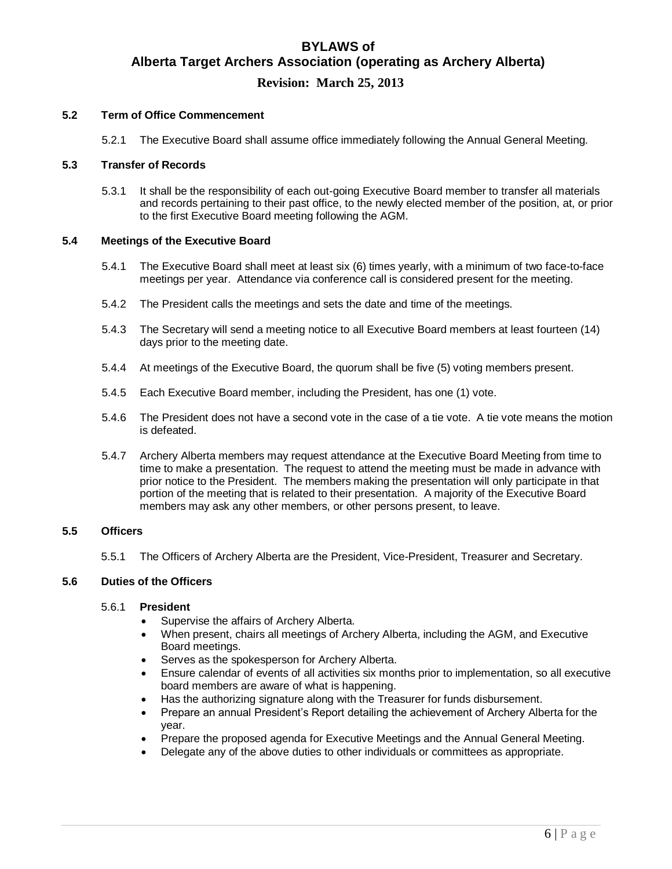#### **5.2 Term of Office Commencement**

5.2.1 The Executive Board shall assume office immediately following the Annual General Meeting.

#### **5.3 Transfer of Records**

5.3.1 It shall be the responsibility of each out-going Executive Board member to transfer all materials and records pertaining to their past office, to the newly elected member of the position, at, or prior to the first Executive Board meeting following the AGM.

#### **5.4 Meetings of the Executive Board**

- 5.4.1 The Executive Board shall meet at least six (6) times yearly, with a minimum of two face-to-face meetings per year. Attendance via conference call is considered present for the meeting.
- 5.4.2 The President calls the meetings and sets the date and time of the meetings.
- 5.4.3 The Secretary will send a meeting notice to all Executive Board members at least fourteen (14) days prior to the meeting date.
- 5.4.4 At meetings of the Executive Board, the quorum shall be five (5) voting members present.
- 5.4.5 Each Executive Board member, including the President, has one (1) vote.
- 5.4.6 The President does not have a second vote in the case of a tie vote. A tie vote means the motion is defeated.
- 5.4.7 Archery Alberta members may request attendance at the Executive Board Meeting from time to time to make a presentation. The request to attend the meeting must be made in advance with prior notice to the President. The members making the presentation will only participate in that portion of the meeting that is related to their presentation. A majority of the Executive Board members may ask any other members, or other persons present, to leave.

### **5.5 Officers**

5.5.1 The Officers of Archery Alberta are the President, Vice-President, Treasurer and Secretary.

#### **5.6 Duties of the Officers**

#### 5.6.1 **President**

- Supervise the affairs of Archery Alberta.
- When present, chairs all meetings of Archery Alberta, including the AGM, and Executive Board meetings.
- Serves as the spokesperson for Archery Alberta.
- Ensure calendar of events of all activities six months prior to implementation, so all executive board members are aware of what is happening.
- Has the authorizing signature along with the Treasurer for funds disbursement.
- Prepare an annual President's Report detailing the achievement of Archery Alberta for the year.
- Prepare the proposed agenda for Executive Meetings and the Annual General Meeting.
- Delegate any of the above duties to other individuals or committees as appropriate.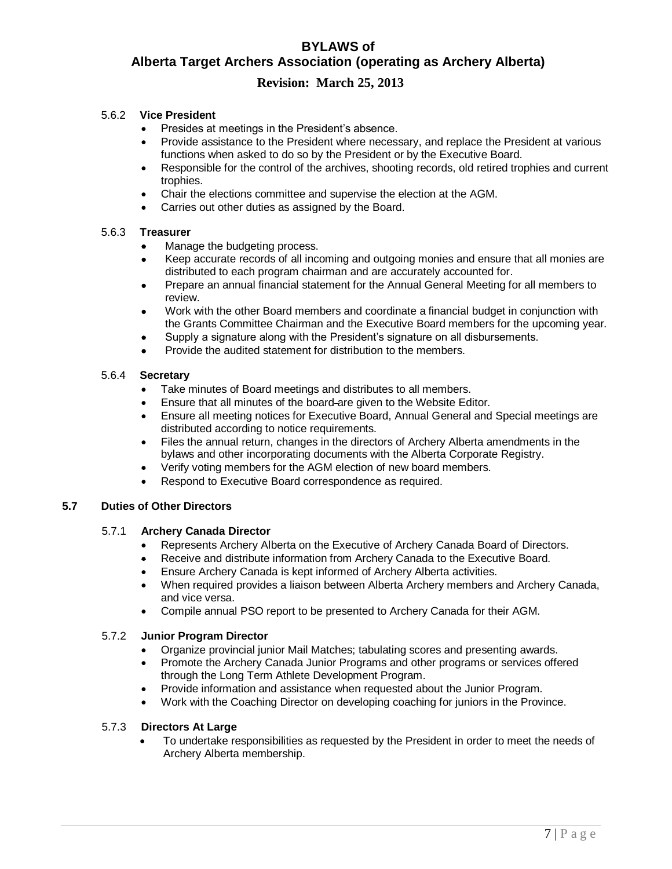# **BYLAWS of Alberta Target Archers Association (operating as Archery Alberta)**

## **Revision: March 25, 2013**

## 5.6.2 **Vice President**

- Presides at meetings in the President's absence.
- Provide assistance to the President where necessary, and replace the President at various functions when asked to do so by the President or by the Executive Board.
- Responsible for the control of the archives, shooting records, old retired trophies and current trophies.
- Chair the elections committee and supervise the election at the AGM.
- Carries out other duties as assigned by the Board.

## 5.6.3 **Treasurer**

- Manage the budgeting process.
- Keep accurate records of all incoming and outgoing monies and ensure that all monies are distributed to each program chairman and are accurately accounted for.
- Prepare an annual financial statement for the Annual General Meeting for all members to review.
- Work with the other Board members and coordinate a financial budget in conjunction with the Grants Committee Chairman and the Executive Board members for the upcoming year.
- Supply a signature along with the President's signature on all disbursements.
- Provide the audited statement for distribution to the members.

## 5.6.4 **Secretary**

- Take minutes of Board meetings and distributes to all members.
- Ensure that all minutes of the board are given to the Website Editor.
- Ensure all meeting notices for Executive Board, Annual General and Special meetings are distributed according to notice requirements.
- Files the annual return, changes in the directors of Archery Alberta amendments in the bylaws and other incorporating documents with the Alberta Corporate Registry.
- ◆ Verify voting members for the AGM election of new board members.
- Respond to Executive Board correspondence as required.

## **5.7 Duties of Other Directors**

## 5.7.1 **Archery Canada Director**

- Represents Archery Alberta on the Executive of Archery Canada Board of Directors.
- Receive and distribute information from Archery Canada to the Executive Board.
- Ensure Archery Canada is kept informed of Archery Alberta activities.
- When required provides a liaison between Alberta Archery members and Archery Canada, and vice versa.
- Compile annual PSO report to be presented to Archery Canada for their AGM.

#### 5.7.2 **Junior Program Director**

- Organize provincial junior Mail Matches; tabulating scores and presenting awards.
- Promote the Archery Canada Junior Programs and other programs or services offered through the Long Term Athlete Development Program.
- Provide information and assistance when requested about the Junior Program.
- Work with the Coaching Director on developing coaching for juniors in the Province.

#### 5.7.3 **Directors At Large**

 To undertake responsibilities as requested by the President in order to meet the needs of Archery Alberta membership.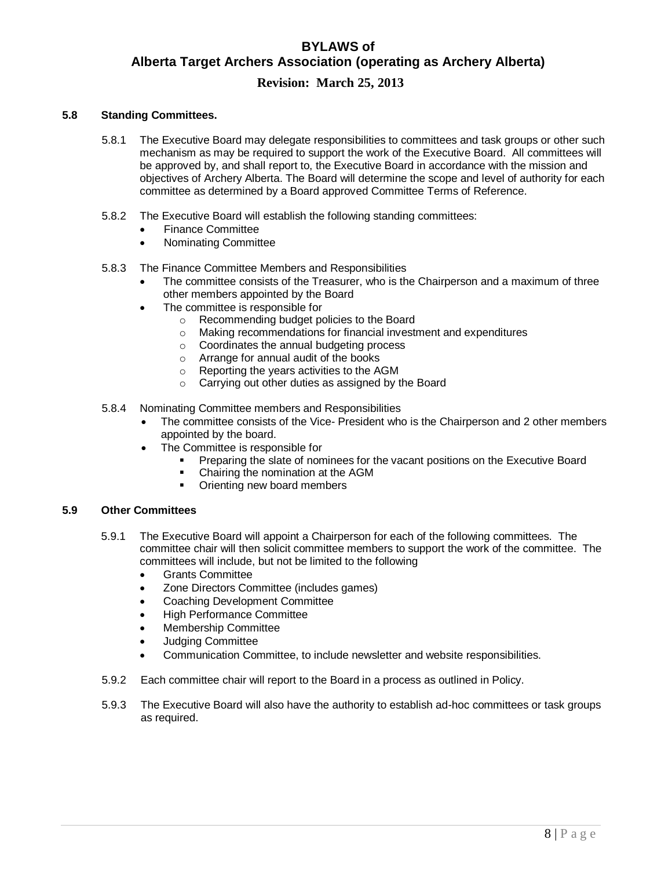# **BYLAWS of Alberta Target Archers Association (operating as Archery Alberta)**

## **Revision: March 25, 2013**

## **5.8 Standing Committees.**

- 5.8.1 The Executive Board may delegate responsibilities to committees and task groups or other such mechanism as may be required to support the work of the Executive Board. All committees will be approved by, and shall report to, the Executive Board in accordance with the mission and objectives of Archery Alberta. The Board will determine the scope and level of authority for each committee as determined by a Board approved Committee Terms of Reference.
- 5.8.2 The Executive Board will establish the following standing committees:
	- Finance Committee
	- Nominating Committee
- 5.8.3 The Finance Committee Members and Responsibilities
	- The committee consists of the Treasurer, who is the Chairperson and a maximum of three other members appointed by the Board
	- The committee is responsible for
		- o Recommending budget policies to the Board
		- o Making recommendations for financial investment and expenditures
		- o Coordinates the annual budgeting process
		- o Arrange for annual audit of the books
		- o Reporting the years activities to the AGM
		- o Carrying out other duties as assigned by the Board
- 5.8.4 Nominating Committee members and Responsibilities
	- The committee consists of the Vice- President who is the Chairperson and 2 other members appointed by the board.
	- The Committee is responsible for
		- Preparing the slate of nominees for the vacant positions on the Executive Board
		- Chairing the nomination at the AGM
		- Orienting new board members

#### **5.9 Other Committees**

- 5.9.1 The Executive Board will appoint a Chairperson for each of the following committees. The committee chair will then solicit committee members to support the work of the committee. The committees will include, but not be limited to the following
	- Grants Committee
	- Zone Directors Committee (includes games)
	- Coaching Development Committee
	- High Performance Committee
	- Membership Committee
	- Judging Committee
	- Communication Committee, to include newsletter and website responsibilities.
- 5.9.2 Each committee chair will report to the Board in a process as outlined in Policy.
- 5.9.3 The Executive Board will also have the authority to establish ad-hoc committees or task groups as required.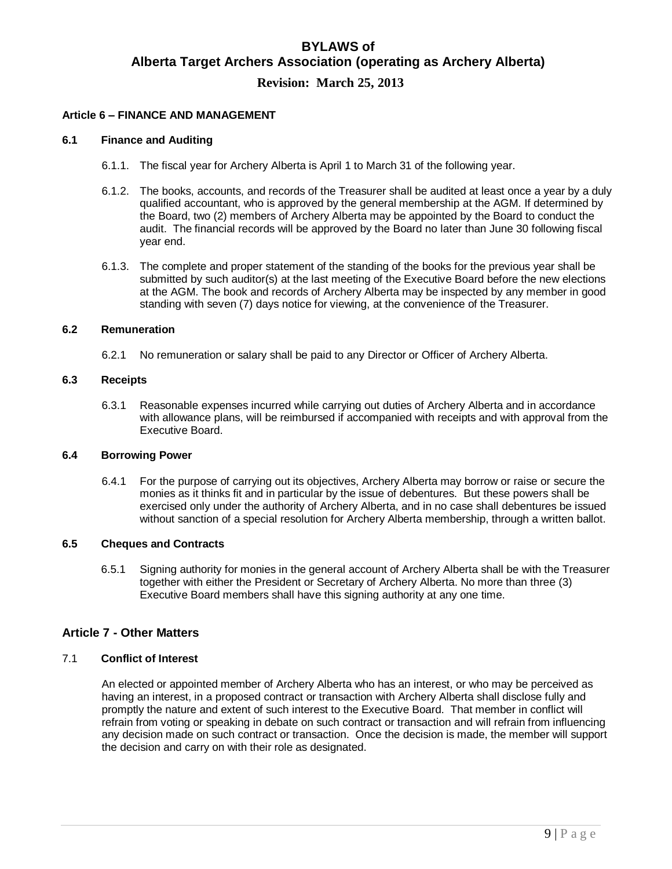#### **Article 6 – FINANCE AND MANAGEMENT**

#### **6.1 Finance and Auditing**

- 6.1.1. The fiscal year for Archery Alberta is April 1 to March 31 of the following year.
- 6.1.2. The books, accounts, and records of the Treasurer shall be audited at least once a year by a duly qualified accountant, who is approved by the general membership at the AGM. If determined by the Board, two (2) members of Archery Alberta may be appointed by the Board to conduct the audit. The financial records will be approved by the Board no later than June 30 following fiscal year end.
- 6.1.3. The complete and proper statement of the standing of the books for the previous year shall be submitted by such auditor(s) at the last meeting of the Executive Board before the new elections at the AGM. The book and records of Archery Alberta may be inspected by any member in good standing with seven (7) days notice for viewing, at the convenience of the Treasurer.

### **6.2 Remuneration**

6.2.1 No remuneration or salary shall be paid to any Director or Officer of Archery Alberta.

#### **6.3 Receipts**

6.3.1 Reasonable expenses incurred while carrying out duties of Archery Alberta and in accordance with allowance plans, will be reimbursed if accompanied with receipts and with approval from the Executive Board.

#### **6.4 Borrowing Power**

6.4.1 For the purpose of carrying out its objectives, Archery Alberta may borrow or raise or secure the monies as it thinks fit and in particular by the issue of debentures. But these powers shall be exercised only under the authority of Archery Alberta, and in no case shall debentures be issued without sanction of a special resolution for Archery Alberta membership, through a written ballot.

## **6.5 Cheques and Contracts**

6.5.1 Signing authority for monies in the general account of Archery Alberta shall be with the Treasurer together with either the President or Secretary of Archery Alberta. No more than three (3) Executive Board members shall have this signing authority at any one time.

## **Article 7 - Other Matters**

#### 7.1 **Conflict of Interest**

An elected or appointed member of Archery Alberta who has an interest, or who may be perceived as having an interest, in a proposed contract or transaction with Archery Alberta shall disclose fully and promptly the nature and extent of such interest to the Executive Board. That member in conflict will refrain from voting or speaking in debate on such contract or transaction and will refrain from influencing any decision made on such contract or transaction. Once the decision is made, the member will support the decision and carry on with their role as designated.